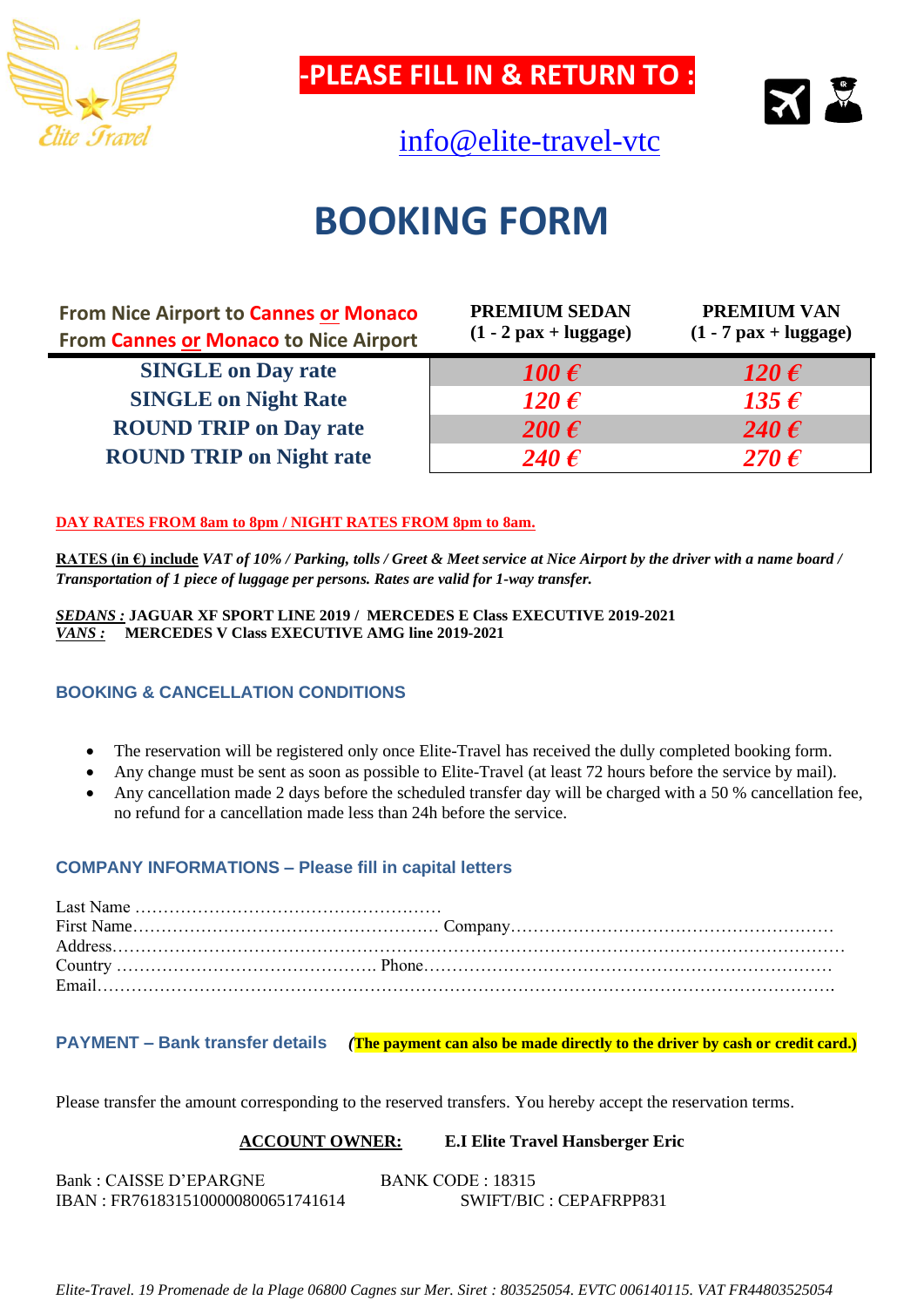

**-PLEASE FILL IN & RETURN TO :**

[info@elite-travel-vtc](mailto:contact.booking@elite-travel-vtc)



## **BOOKING FORM**

| <b>From Nice Airport to Cannes or Monaco</b><br><b>From Cannes or Monaco to Nice Airport</b> | <b>PREMIUM SEDAN</b><br>$(1 - 2 \text{ pax} + \text{luggage})$ | <b>PREMIUM VAN</b><br>$(1 - 7$ pax + luggage) |
|----------------------------------------------------------------------------------------------|----------------------------------------------------------------|-----------------------------------------------|
| <b>SINGLE on Day rate</b>                                                                    | 100 $\boldsymbol{\epsilon}$                                    | 120 $\boldsymbol{\epsilon}$                   |
| <b>SINGLE on Night Rate</b>                                                                  | 120 $\boldsymbol{\epsilon}$                                    | 135 $\epsilon$                                |
| <b>ROUND TRIP on Day rate</b>                                                                | 200 $\boldsymbol{\epsilon}$                                    | 240 $\epsilon$                                |
| <b>ROUND TRIP on Night rate</b>                                                              | 240 $\boldsymbol{\epsilon}$                                    | $270 \,\epsilon$                              |

#### **DAY RATES FROM 8am to 8pm / NIGHT RATES FROM 8pm to 8am.**

**RATES (in €) include** *VAT of 10% / Parking, tolls / Greet & Meet service at Nice Airport by the driver with a name board / Transportation of 1 piece of luggage per persons. Rates are valid for 1-way transfer.*

*SEDANS :* **JAGUAR XF SPORT LINE 2019 / MERCEDES E Class EXECUTIVE 2019-2021** *VANS :* **MERCEDES V Class EXECUTIVE AMG line 2019-2021**

#### **BOOKING & CANCELLATION CONDITIONS**

- The reservation will be registered only once Elite-Travel has received the dully completed booking form.
- Any change must be sent as soon as possible to Elite-Travel (at least 72 hours before the service by mail).
- Any cancellation made 2 days before the scheduled transfer day will be charged with a 50 % cancellation fee, no refund for a cancellation made less than 24h before the service.

#### **COMPANY INFORMATIONS – Please fill in capital letters**

**PAYMENT – Bank transfer details** *(***The payment can also be made directly to the driver by cash or credit card.)**

Please transfer the amount corresponding to the reserved transfers. You hereby accept the reservation terms.

#### **ACCOUNT OWNER: E.I Elite Travel Hansberger Eric**

Bank : CAISSE D'EPARGNE BANK CODE : 18315 IBAN : FR7618315100000800651741614 SWIFT/BIC : CEPAFRPP831

*Elite-Travel. 19 Promenade de la Plage 06800 Cagnes sur Mer. Siret : 803525054. EVTC 006140115. VAT FR44803525054*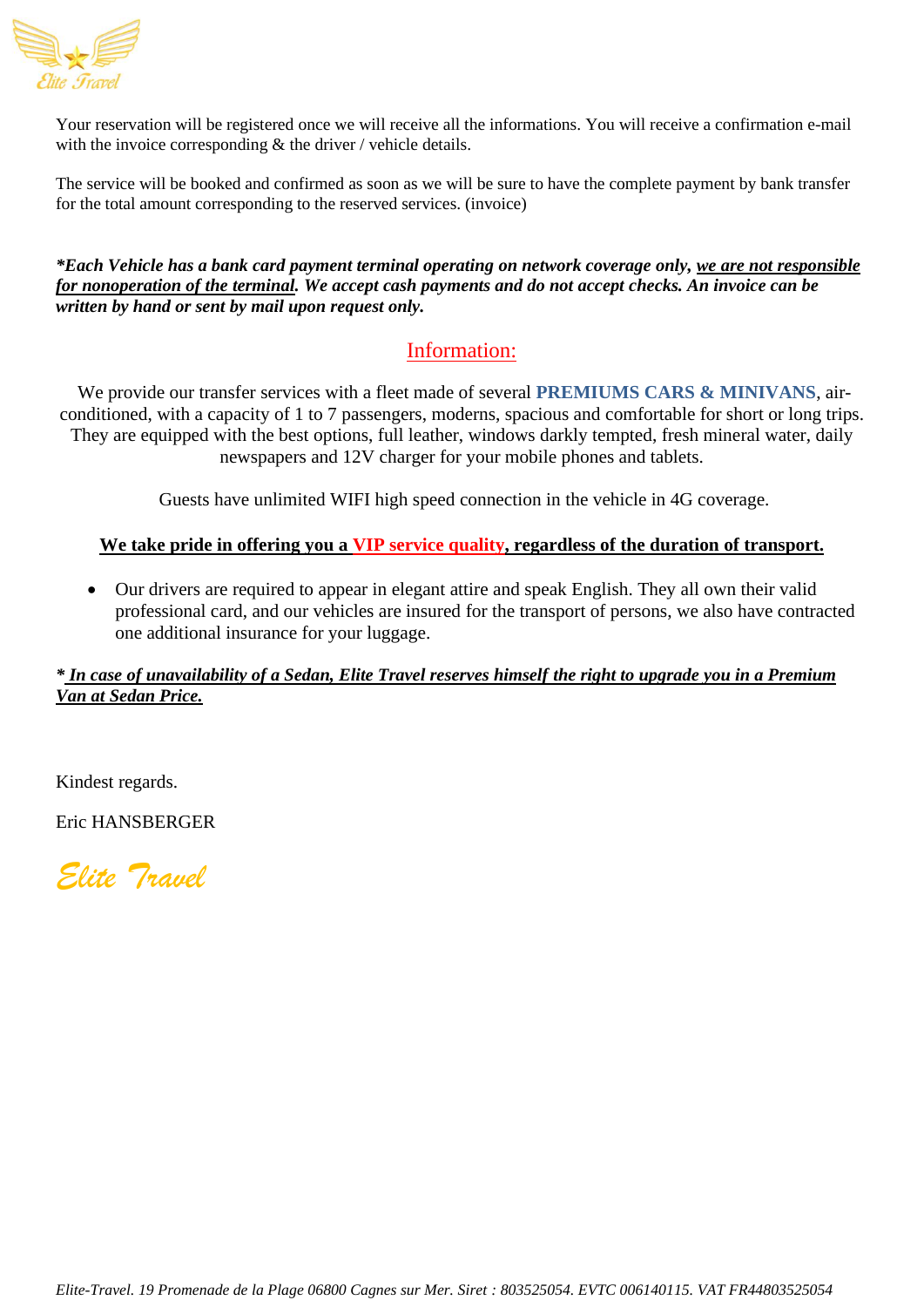

Your reservation will be registered once we will receive all the informations. You will receive a confirmation e-mail with the invoice corresponding  $\&$  the driver / vehicle details.

The service will be booked and confirmed as soon as we will be sure to have the complete payment by bank transfer for the total amount corresponding to the reserved services. (invoice)

*\*Each Vehicle has a bank card payment terminal operating on network coverage only, we are not responsible for nonoperation of the terminal. We accept cash payments and do not accept checks. An invoice can be written by hand or sent by mail upon request only.*

### Information:

We provide our transfer services with a fleet made of several **PREMIUMS CARS & MINIVANS**, airconditioned, with a capacity of 1 to 7 passengers, moderns, spacious and comfortable for short or long trips. They are equipped with the best options, full leather, windows darkly tempted, fresh mineral water, daily newspapers and 12V charger for your mobile phones and tablets.

Guests have unlimited WIFI high speed connection in the vehicle in 4G coverage.

#### **We take pride in offering you a VIP service quality, regardless of the duration of transport.**

• Our drivers are required to appear in elegant attire and speak English. They all own their valid professional card, and our vehicles are insured for the transport of persons, we also have contracted one additional insurance for your luggage.

#### *\* In case of unavailability of a Sedan, Elite Travel reserves himself the right to upgrade you in a Premium Van at Sedan Price.*

Kindest regards.

Eric HANSBERGER

*Elite Travel*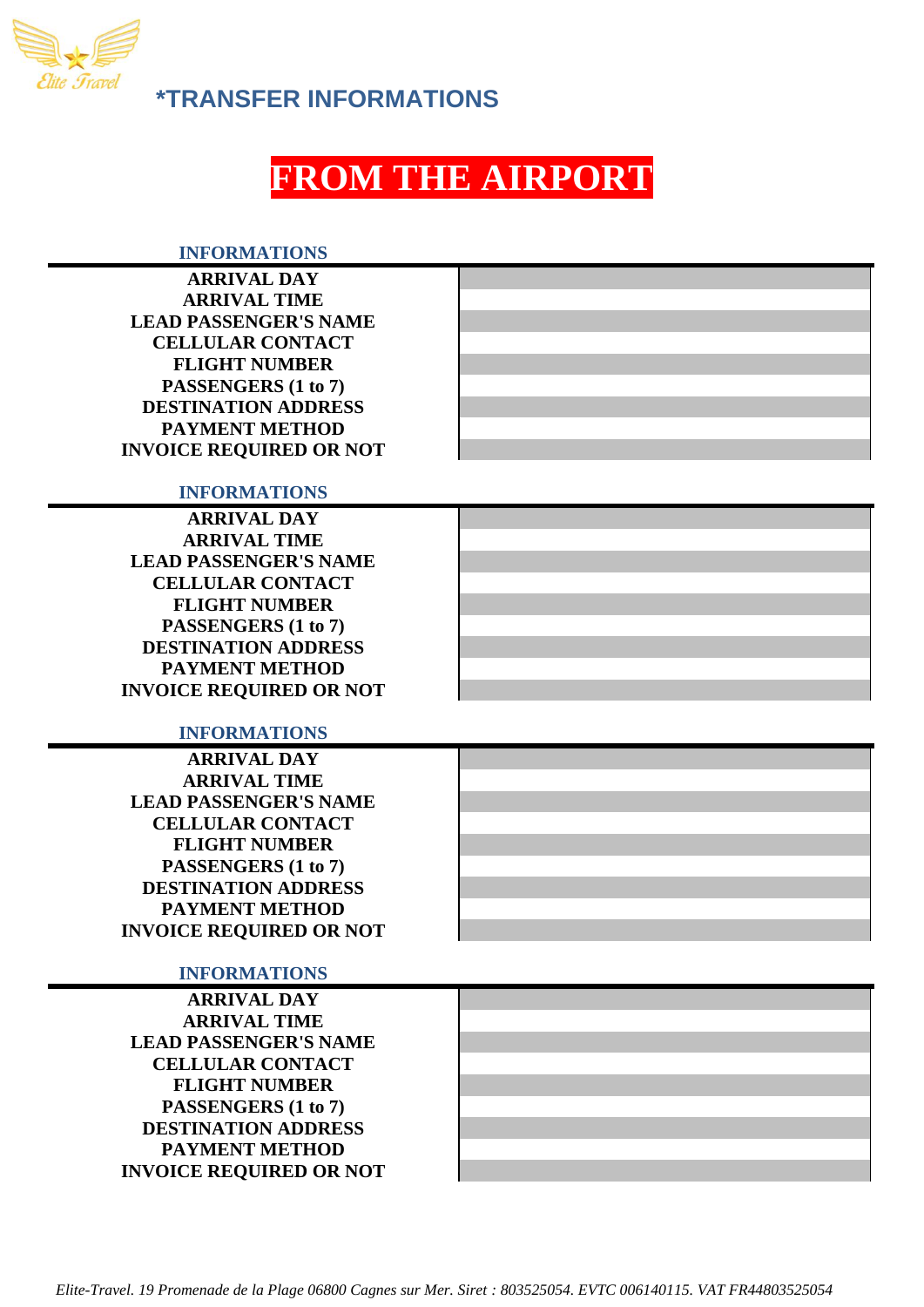

**\*TRANSFER INFORMATIONS**

## **FROM THE AIRPORT**

#### **INFORMATIONS**

| <b>ARRIVAL DAY</b>             |
|--------------------------------|
| <b>ARRIVAL TIME</b>            |
| <b>LEAD PASSENGER'S NAME</b>   |
| <b>CELLULAR CONTACT</b>        |
| <b>FLIGHT NUMBER</b>           |
| PASSENGERS (1 to 7)            |
| <b>DESTINATION ADDRESS</b>     |
| <b>PAYMENT METHOD</b>          |
| <b>INVOICE REQUIRED OR NOT</b> |

#### **INFORMATIONS**

| <b>ARRIVAL DAY</b>             |  |
|--------------------------------|--|
| <b>ARRIVAL TIME</b>            |  |
| <b>LEAD PASSENGER'S NAME</b>   |  |
| <b>CELLULAR CONTACT</b>        |  |
| <b>FLIGHT NUMBER</b>           |  |
| PASSENGERS (1 to 7)            |  |
| <b>DESTINATION ADDRESS</b>     |  |
| <b>PAYMENT METHOD</b>          |  |
| <b>INVOICE REQUIRED OR NOT</b> |  |

#### **INFORMATIONS**

#### **INFORMATIONS**

**ARRIVAL DAY ARRIVAL TIME LEAD PASSENGER'S NAME CELLULAR CONTACT FLIGHT NUMBER PASSENGERS (1 to 7) DESTINATION ADDRESS PAYMENT METHOD INVOICE REQUIRED OR NOT**